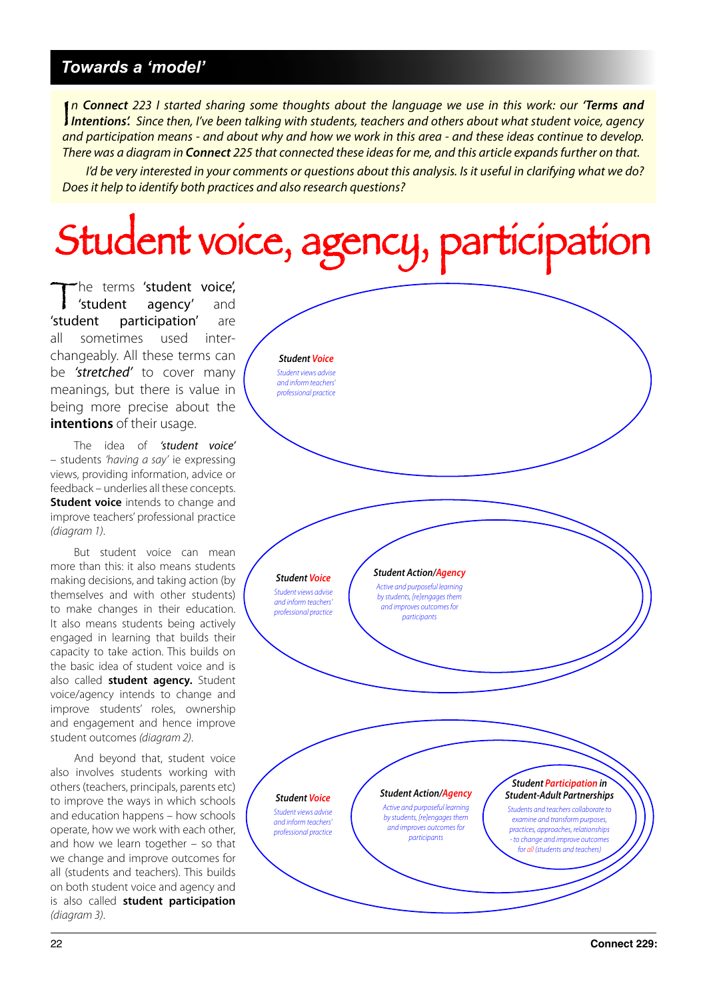## *Towards a 'model'*

 $\int_a$ n **Connect** 223 I started sharing some thoughts about the language we use in this work: our **'Terms and Intentions'.** Since then, I've been talking with students, teachers and others about what student voice, agency and participation means - and about why and how we work in this area - and these ideas continue to develop. There was a diagram in **Connect** 225 that connected these ideas for me, and this article expands further on that.

I'd be very interested in your comments or questions about this analysis. Is it useful in clarifying what we do? Does it help to identify both practices and also research questions?

## Student voice, agency, participation

The terms 'student voice',<br>
'student agency' and<br>
'student participation' are agency' participation' all sometimes used interchangeably. All these terms can be 'stretched' to cover many meanings, but there is value in being more precise about the **intentions** of their usage.

The idea of 'student voice' – students 'having a say' ie expressing views, providing information, advice or feedback – underlies all these concepts. **Student voice** intends to change and improve teachers' professional practice (diagram 1).

But student voice can mean more than this: it also means students making decisions, and taking action (by themselves and with other students) to make changes in their education. It also means students being actively engaged in learning that builds their capacity to take action. This builds on the basic idea of student voice and is also called **student agency.** Student voice/agency intends to change and improve students' roles, ownership and engagement and hence improve student outcomes (diagram 2).

And beyond that, student voice also involves students working with others (teachers, principals, parents etc) to improve the ways in which schools and education happens – how schools operate, how we work with each other, and how we learn together – so that we change and improve outcomes for all (students and teachers). This builds on both student voice and agency and is also called **student participation** (diagram 3).

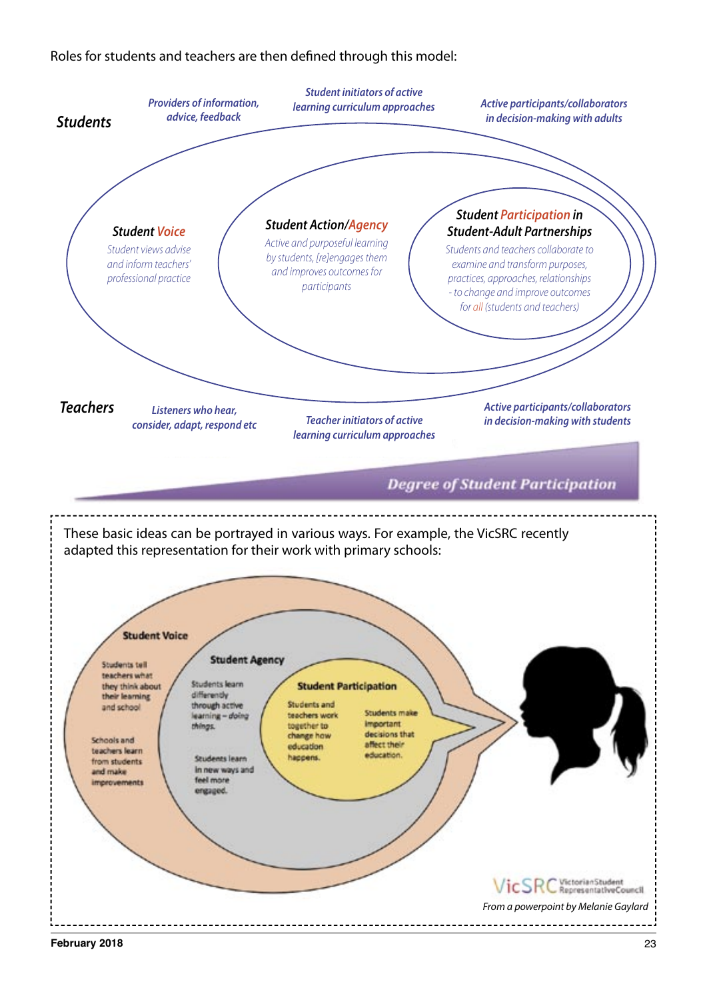Roles for students and teachers are then defined through this model:



**February 2018** 23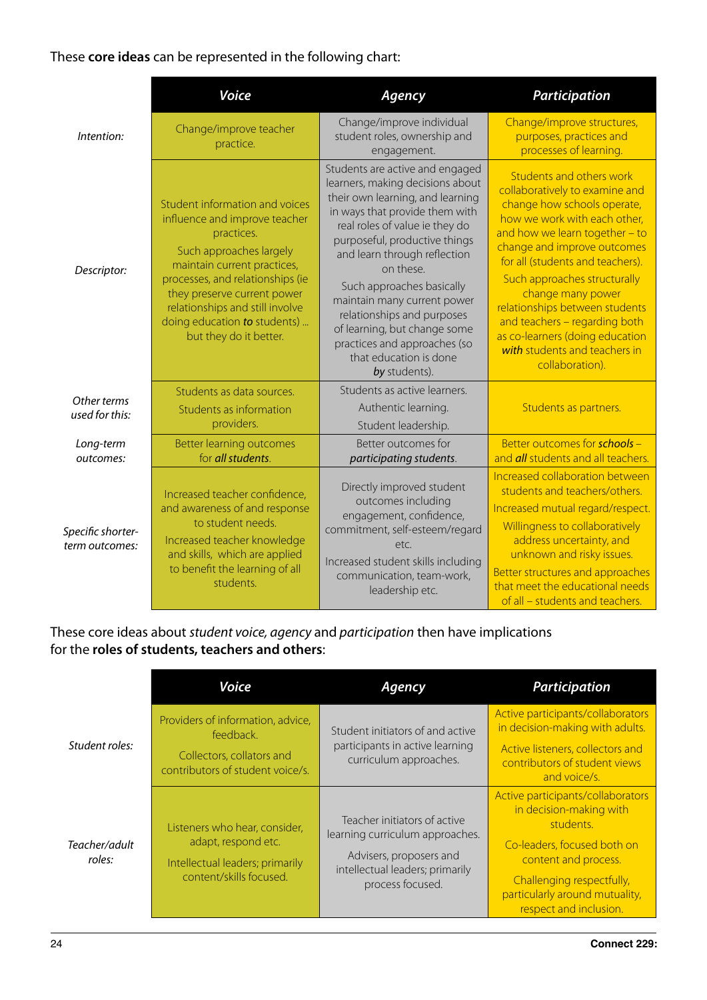## These **core ideas** can be represented in the following chart:

|                                     | <b>Voice</b>                                                                                                                                                                                                                                                                                            | Agency                                                                                                                                                                                                                                                                                                                                                                                                                                                         | <b>Participation</b>                                                                                                                                                                                                                                                                                                                                                                                                                          |
|-------------------------------------|---------------------------------------------------------------------------------------------------------------------------------------------------------------------------------------------------------------------------------------------------------------------------------------------------------|----------------------------------------------------------------------------------------------------------------------------------------------------------------------------------------------------------------------------------------------------------------------------------------------------------------------------------------------------------------------------------------------------------------------------------------------------------------|-----------------------------------------------------------------------------------------------------------------------------------------------------------------------------------------------------------------------------------------------------------------------------------------------------------------------------------------------------------------------------------------------------------------------------------------------|
| Intention:                          | Change/improve teacher<br>practice.                                                                                                                                                                                                                                                                     | Change/improve individual<br>student roles, ownership and<br>engagement.                                                                                                                                                                                                                                                                                                                                                                                       | Change/improve structures,<br>purposes, practices and<br>processes of learning.                                                                                                                                                                                                                                                                                                                                                               |
| Descriptor:                         | Student information and voices<br>influence and improve teacher<br>practices.<br>Such approaches largely<br>maintain current practices,<br>processes, and relationships (ie<br>they preserve current power<br>relationships and still involve<br>doing education to students)<br>but they do it better. | Students are active and engaged<br>learners, making decisions about<br>their own learning, and learning<br>in ways that provide them with<br>real roles of value ie they do<br>purposeful, productive things<br>and learn through reflection<br>on these.<br>Such approaches basically<br>maintain many current power<br>relationships and purposes<br>of learning, but change some<br>practices and approaches (so<br>that education is done<br>by students). | Students and others work<br>collaboratively to examine and<br>change how schools operate,<br>how we work with each other,<br>and how we learn together - to<br>change and improve outcomes<br>for all (students and teachers).<br>Such approaches structurally<br>change many power<br>relationships between students<br>and teachers - regarding both<br>as co-learners (doing education<br>with students and teachers in<br>collaboration). |
| Other terms<br>used for this:       | Students as data sources.<br>Students as information<br>providers.                                                                                                                                                                                                                                      | Students as active learners.<br>Authentic learning.<br>Student leadership.                                                                                                                                                                                                                                                                                                                                                                                     | Students as partners.                                                                                                                                                                                                                                                                                                                                                                                                                         |
| Long-term<br>outcomes:              | <b>Better learning outcomes</b><br>for all students.                                                                                                                                                                                                                                                    | Better outcomes for<br>participating students.                                                                                                                                                                                                                                                                                                                                                                                                                 | Better outcomes for schools -<br>and <i>all</i> students and all teachers.                                                                                                                                                                                                                                                                                                                                                                    |
| Specific shorter-<br>term outcomes: | Increased teacher confidence,<br>and awareness of and response<br>to student needs.<br>Increased teacher knowledge<br>and skills, which are applied<br>to benefit the learning of all<br>students.                                                                                                      | Directly improved student<br>outcomes including<br>engagement, confidence,<br>commitment, self-esteem/regard<br>etc.<br>Increased student skills including<br>communication, team-work,<br>leadership etc.                                                                                                                                                                                                                                                     | Increased collaboration between<br>students and teachers/others.<br>Increased mutual regard/respect.<br>Willingness to collaboratively<br>address uncertainty, and<br>unknown and risky issues.<br>Better structures and approaches<br>that meet the educational needs<br>of all - students and teachers.                                                                                                                                     |

These core ideas about student voice, agency and participation then have implications for the **roles of students, teachers and others**:

|                         | Voice                                                                                                              | Agency                                                                                                                                            | <b>Participation</b>                                                                                                                                                                                                      |
|-------------------------|--------------------------------------------------------------------------------------------------------------------|---------------------------------------------------------------------------------------------------------------------------------------------------|---------------------------------------------------------------------------------------------------------------------------------------------------------------------------------------------------------------------------|
| Student roles:          | Providers of information, advice,<br>feedback.                                                                     | Student initiators of and active<br>participants in active learning<br>curriculum approaches.                                                     | Active participants/collaborators<br>in decision-making with adults.                                                                                                                                                      |
|                         | Collectors, collators and<br>contributors of student voice/s.                                                      |                                                                                                                                                   | Active listeners, collectors and<br>contributors of student views<br>and voice/s.                                                                                                                                         |
| Teacher/adult<br>roles: | Listeners who hear, consider,<br>adapt, respond etc.<br>Intellectual leaders; primarily<br>content/skills focused. | Teacher initiators of active<br>learning curriculum approaches.<br>Advisers, proposers and<br>intellectual leaders; primarily<br>process focused. | Active participants/collaborators<br>in decision-making with<br>students.<br>Co-leaders, focused both on<br>content and process.<br>Challenging respectfully,<br>particularly around mutuality,<br>respect and inclusion. |